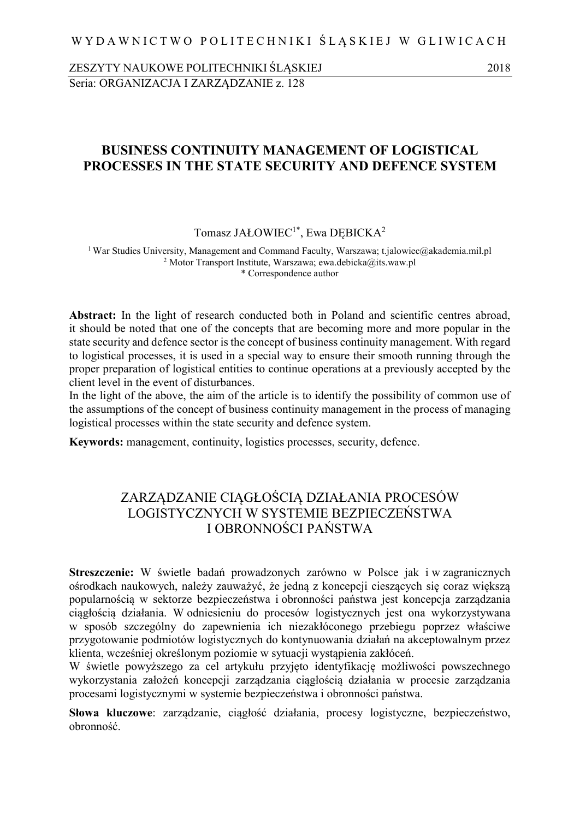ZESZYTY NAUKOWE POLITECHNIKI ŚLĄSKIEJ 2018 Seria: ORGANIZACJA I ZARZĄDZANIE z. 128

### **BUSINESS CONTINUITY MANAGEMENT OF LOGISTICAL PROCESSES IN THE STATE SECURITY AND DEFENCE SYSTEM**

Tomasz JAŁOWIEC<sup>1\*</sup>, Ewa DEBICKA<sup>2</sup>

<sup>1</sup> War Studies University, Management and Command Faculty, Warszawa; t.jalowiec@akademia.mil.pl <sup>2</sup> Motor Transport Institute, Warszawa; ewa.debicka@its.waw.pl \* Correspondence author

Abstract: In the light of research conducted both in Poland and scientific centres abroad, it should be noted that one of the concepts that are becoming more and more popular in the state security and defence sector is the concept of business continuity management. With regard to logistical processes, it is used in a special way to ensure their smooth running through the proper preparation of logistical entities to continue operations at a previously accepted by the client level in the event of disturbances.

In the light of the above, the aim of the article is to identify the possibility of common use of the assumptions of the concept of business continuity management in the process of managing logistical processes within the state security and defence system.

**Keywords:** management, continuity, logistics processes, security, defence.

# ZARZĄDZANIE CIĄGŁOŚCIĄ DZIAŁANIA PROCESÓW LOGISTYCZNYCH W SYSTEMIE BEZPIECZEŃSTWA I OBRONNOŚCI PAŃSTWA

**Streszczenie:** W świetle badań prowadzonych zarówno w Polsce jak i w zagranicznych ośrodkach naukowych, należy zauważyć, że jedną z koncepcji cieszących się coraz większą popularnością w sektorze bezpieczeństwa i obronności państwa jest koncepcja zarządzania ciągłością działania. W odniesieniu do procesów logistycznych jest ona wykorzystywana w sposób szczególny do zapewnienia ich niezakłóconego przebiegu poprzez właściwe przygotowanie podmiotów logistycznych do kontynuowania działań na akceptowalnym przez klienta, wcześniej określonym poziomie w sytuacji wystąpienia zakłóceń.

W świetle powyższego za cel artykułu przyjęto identyfikację możliwości powszechnego wykorzystania założeń koncepcji zarządzania ciągłością działania w procesie zarządzania procesami logistycznymi w systemie bezpieczeństwa i obronności państwa.

**Słowa kluczowe**: zarządzanie, ciągłość działania, procesy logistyczne, bezpieczeństwo, obronność.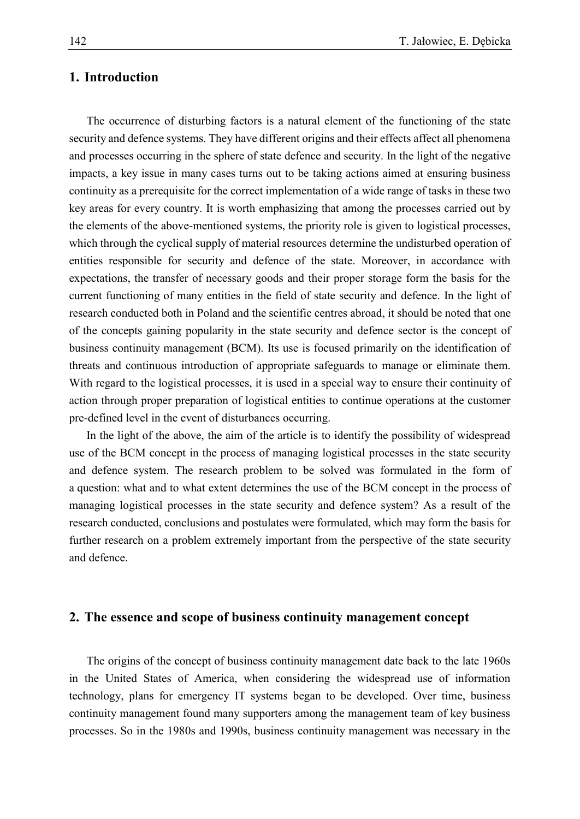### **1. Introduction**

The occurrence of disturbing factors is a natural element of the functioning of the state security and defence systems. They have different origins and their effects affect all phenomena and processes occurring in the sphere of state defence and security. In the light of the negative impacts, a key issue in many cases turns out to be taking actions aimed at ensuring business continuity as a prerequisite for the correct implementation of a wide range of tasks in these two key areas for every country. It is worth emphasizing that among the processes carried out by the elements of the above-mentioned systems, the priority role is given to logistical processes, which through the cyclical supply of material resources determine the undisturbed operation of entities responsible for security and defence of the state. Moreover, in accordance with expectations, the transfer of necessary goods and their proper storage form the basis for the current functioning of many entities in the field of state security and defence. In the light of research conducted both in Poland and the scientific centres abroad, it should be noted that one of the concepts gaining popularity in the state security and defence sector is the concept of business continuity management (BCM). Its use is focused primarily on the identification of threats and continuous introduction of appropriate safeguards to manage or eliminate them. With regard to the logistical processes, it is used in a special way to ensure their continuity of action through proper preparation of logistical entities to continue operations at the customer pre-defined level in the event of disturbances occurring.

In the light of the above, the aim of the article is to identify the possibility of widespread use of the BCM concept in the process of managing logistical processes in the state security and defence system. The research problem to be solved was formulated in the form of a question: what and to what extent determines the use of the BCM concept in the process of managing logistical processes in the state security and defence system? As a result of the research conducted, conclusions and postulates were formulated, which may form the basis for further research on a problem extremely important from the perspective of the state security and defence.

#### **2. The essence and scope of business continuity management concept**

The origins of the concept of business continuity management date back to the late 1960s in the United States of America, when considering the widespread use of information technology, plans for emergency IT systems began to be developed. Over time, business continuity management found many supporters among the management team of key business processes. So in the 1980s and 1990s, business continuity management was necessary in the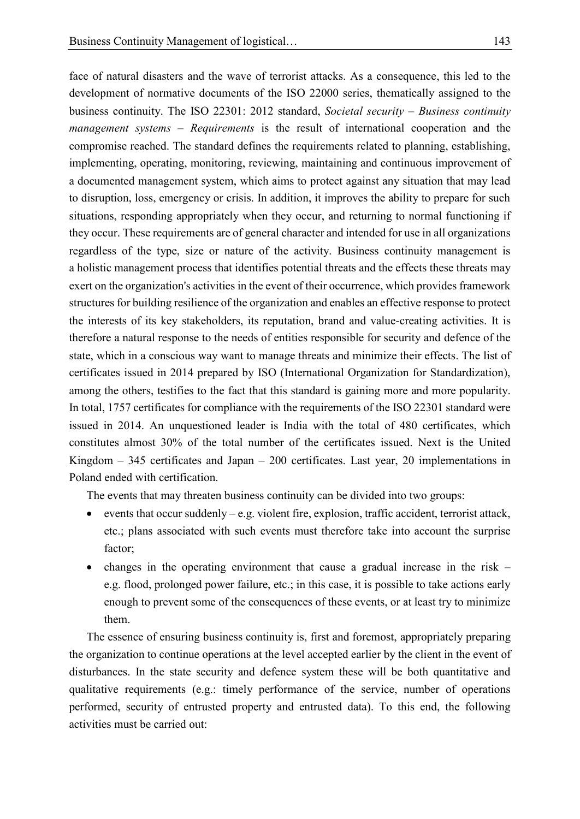face of natural disasters and the wave of terrorist attacks. As a consequence, this led to the development of normative documents of the ISO 22000 series, thematically assigned to the business continuity. The ISO 22301: 2012 standard, *Societal security – Business continuity management systems – Requirements* is the result of international cooperation and the compromise reached. The standard defines the requirements related to planning, establishing, implementing, operating, monitoring, reviewing, maintaining and continuous improvement of a documented management system, which aims to protect against any situation that may lead to disruption, loss, emergency or crisis. In addition, it improves the ability to prepare for such situations, responding appropriately when they occur, and returning to normal functioning if they occur. These requirements are of general character and intended for use in all organizations regardless of the type, size or nature of the activity. Business continuity management is a holistic management process that identifies potential threats and the effects these threats may exert on the organization's activities in the event of their occurrence, which provides framework structures for building resilience of the organization and enables an effective response to protect the interests of its key stakeholders, its reputation, brand and value-creating activities. It is therefore a natural response to the needs of entities responsible for security and defence of the state, which in a conscious way want to manage threats and minimize their effects. The list of certificates issued in 2014 prepared by ISO (International Organization for Standardization), among the others, testifies to the fact that this standard is gaining more and more popularity. In total, 1757 certificates for compliance with the requirements of the ISO 22301 standard were issued in 2014. An unquestioned leader is India with the total of 480 certificates, which constitutes almost 30% of the total number of the certificates issued. Next is the United Kingdom – 345 certificates and Japan – 200 certificates. Last year, 20 implementations in Poland ended with certification.

The events that may threaten business continuity can be divided into two groups:

- events that occur suddenly e.g. violent fire, explosion, traffic accident, terrorist attack, etc.; plans associated with such events must therefore take into account the surprise factor;
- changes in the operating environment that cause a gradual increase in the risk e.g. flood, prolonged power failure, etc.; in this case, it is possible to take actions early enough to prevent some of the consequences of these events, or at least try to minimize them.

The essence of ensuring business continuity is, first and foremost, appropriately preparing the organization to continue operations at the level accepted earlier by the client in the event of disturbances. In the state security and defence system these will be both quantitative and qualitative requirements (e.g.: timely performance of the service, number of operations performed, security of entrusted property and entrusted data). To this end, the following activities must be carried out: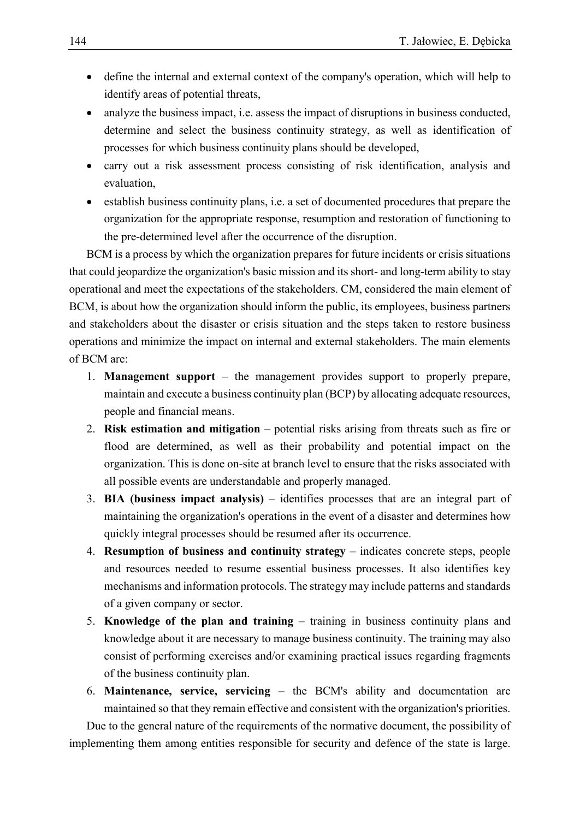- define the internal and external context of the company's operation, which will help to identify areas of potential threats,
- analyze the business impact, i.e. assess the impact of disruptions in business conducted, determine and select the business continuity strategy, as well as identification of processes for which business continuity plans should be developed,
- carry out a risk assessment process consisting of risk identification, analysis and evaluation,
- establish business continuity plans, i.e. a set of documented procedures that prepare the organization for the appropriate response, resumption and restoration of functioning to the pre-determined level after the occurrence of the disruption.

BCM is a process by which the organization prepares for future incidents or crisis situations that could jeopardize the organization's basic mission and its short- and long-term ability to stay operational and meet the expectations of the stakeholders. CM, considered the main element of BCM, is about how the organization should inform the public, its employees, business partners and stakeholders about the disaster or crisis situation and the steps taken to restore business operations and minimize the impact on internal and external stakeholders. The main elements of BCM are:

- 1. **Management support** the management provides support to properly prepare, maintain and execute a business continuity plan (BCP) by allocating adequate resources, people and financial means.
- 2. **Risk estimation and mitigation** potential risks arising from threats such as fire or flood are determined, as well as their probability and potential impact on the organization. This is done on-site at branch level to ensure that the risks associated with all possible events are understandable and properly managed.
- 3. **BIA (business impact analysis)** identifies processes that are an integral part of maintaining the organization's operations in the event of a disaster and determines how quickly integral processes should be resumed after its occurrence.
- 4. **Resumption of business and continuity strategy** indicates concrete steps, people and resources needed to resume essential business processes. It also identifies key mechanisms and information protocols. The strategy may include patterns and standards of a given company or sector.
- 5. **Knowledge of the plan and training** training in business continuity plans and knowledge about it are necessary to manage business continuity. The training may also consist of performing exercises and/or examining practical issues regarding fragments of the business continuity plan.
- 6. **Maintenance, service, servicing** the BCM's ability and documentation are maintained so that they remain effective and consistent with the organization's priorities.

Due to the general nature of the requirements of the normative document, the possibility of implementing them among entities responsible for security and defence of the state is large.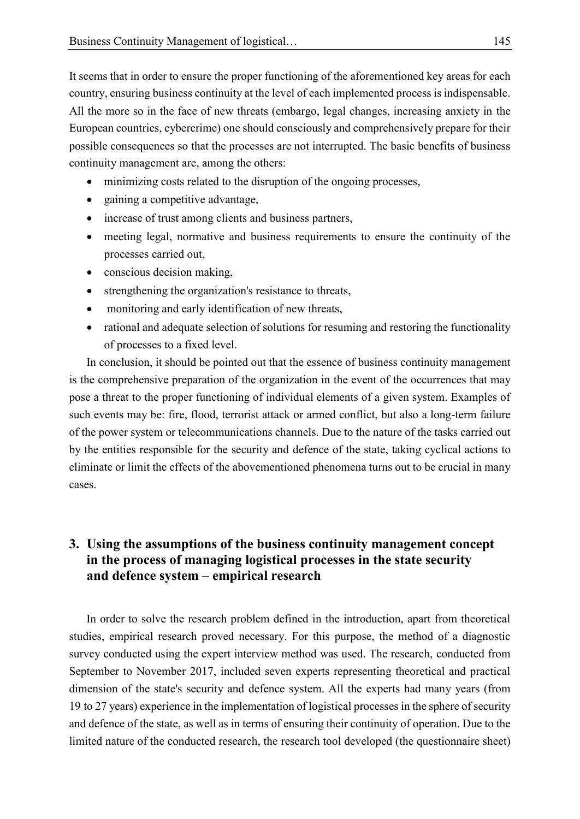It seems that in order to ensure the proper functioning of the aforementioned key areas for each country, ensuring business continuity at the level of each implemented process is indispensable. All the more so in the face of new threats (embargo, legal changes, increasing anxiety in the European countries, cybercrime) one should consciously and comprehensively prepare for their possible consequences so that the processes are not interrupted. The basic benefits of business continuity management are, among the others:

- minimizing costs related to the disruption of the ongoing processes,
- gaining a competitive advantage,
- increase of trust among clients and business partners,
- meeting legal, normative and business requirements to ensure the continuity of the processes carried out,
- conscious decision making,
- strengthening the organization's resistance to threats,
- monitoring and early identification of new threats,
- rational and adequate selection of solutions for resuming and restoring the functionality of processes to a fixed level.

In conclusion, it should be pointed out that the essence of business continuity management is the comprehensive preparation of the organization in the event of the occurrences that may pose a threat to the proper functioning of individual elements of a given system. Examples of such events may be: fire, flood, terrorist attack or armed conflict, but also a long-term failure of the power system or telecommunications channels. Due to the nature of the tasks carried out by the entities responsible for the security and defence of the state, taking cyclical actions to eliminate or limit the effects of the abovementioned phenomena turns out to be crucial in many cases.

## **3. Using the assumptions of the business continuity management concept in the process of managing logistical processes in the state security and defence system – empirical research**

In order to solve the research problem defined in the introduction, apart from theoretical studies, empirical research proved necessary. For this purpose, the method of a diagnostic survey conducted using the expert interview method was used. The research, conducted from September to November 2017, included seven experts representing theoretical and practical dimension of the state's security and defence system. All the experts had many years (from 19 to 27 years) experience in the implementation of logistical processes in the sphere of security and defence of the state, as well as in terms of ensuring their continuity of operation. Due to the limited nature of the conducted research, the research tool developed (the questionnaire sheet)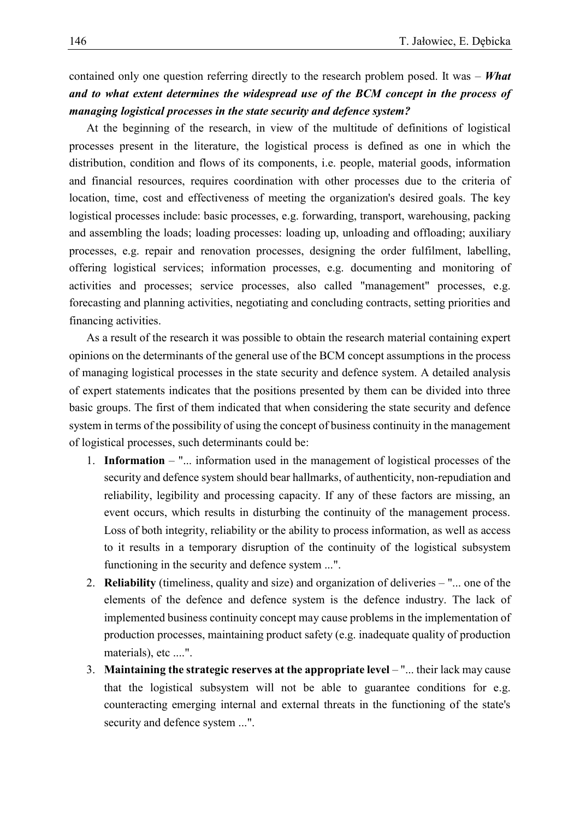contained only one question referring directly to the research problem posed. It was – *What and to what extent determines the widespread use of the BCM concept in the process of managing logistical processes in the state security and defence system?*

At the beginning of the research, in view of the multitude of definitions of logistical processes present in the literature, the logistical process is defined as one in which the distribution, condition and flows of its components, i.e. people, material goods, information and financial resources, requires coordination with other processes due to the criteria of location, time, cost and effectiveness of meeting the organization's desired goals. The key logistical processes include: basic processes, e.g. forwarding, transport, warehousing, packing and assembling the loads; loading processes: loading up, unloading and offloading; auxiliary processes, e.g. repair and renovation processes, designing the order fulfilment, labelling, offering logistical services; information processes, e.g. documenting and monitoring of activities and processes; service processes, also called "management" processes, e.g. forecasting and planning activities, negotiating and concluding contracts, setting priorities and financing activities.

As a result of the research it was possible to obtain the research material containing expert opinions on the determinants of the general use of the BCM concept assumptions in the process of managing logistical processes in the state security and defence system. A detailed analysis of expert statements indicates that the positions presented by them can be divided into three basic groups. The first of them indicated that when considering the state security and defence system in terms of the possibility of using the concept of business continuity in the management of logistical processes, such determinants could be:

- 1. **Information** "... information used in the management of logistical processes of the security and defence system should bear hallmarks, of authenticity, non-repudiation and reliability, legibility and processing capacity. If any of these factors are missing, an event occurs, which results in disturbing the continuity of the management process. Loss of both integrity, reliability or the ability to process information, as well as access to it results in a temporary disruption of the continuity of the logistical subsystem functioning in the security and defence system ...".
- 2. **Reliability** (timeliness, quality and size) and organization of deliveries "... one of the elements of the defence and defence system is the defence industry. The lack of implemented business continuity concept may cause problems in the implementation of production processes, maintaining product safety (e.g. inadequate quality of production materials), etc ....".
- 3. **Maintaining the strategic reserves at the appropriate level** "... their lack may cause that the logistical subsystem will not be able to guarantee conditions for e.g. counteracting emerging internal and external threats in the functioning of the state's security and defence system ...".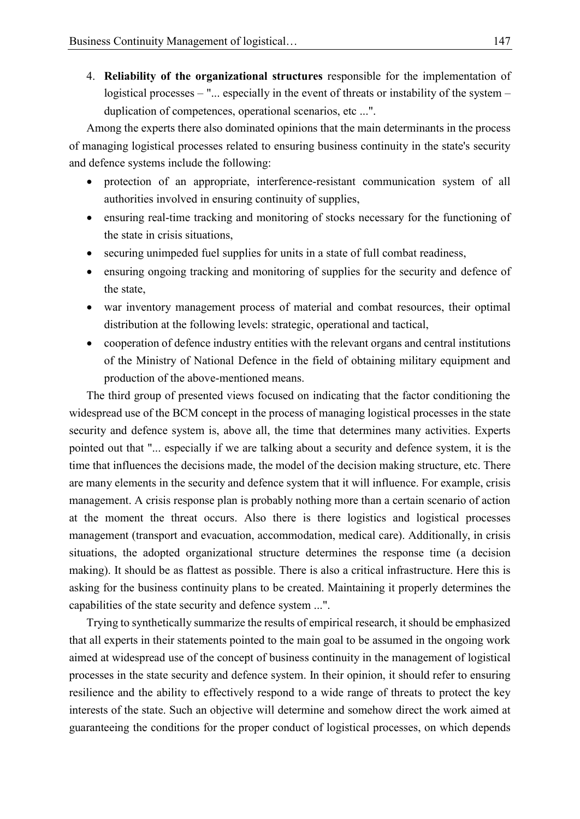4. **Reliability of the organizational structures** responsible for the implementation of logistical processes – "... especially in the event of threats or instability of the system – duplication of competences, operational scenarios, etc ...".

Among the experts there also dominated opinions that the main determinants in the process of managing logistical processes related to ensuring business continuity in the state's security and defence systems include the following:

- protection of an appropriate, interference-resistant communication system of all authorities involved in ensuring continuity of supplies,
- ensuring real-time tracking and monitoring of stocks necessary for the functioning of the state in crisis situations,
- securing unimpeded fuel supplies for units in a state of full combat readiness,
- ensuring ongoing tracking and monitoring of supplies for the security and defence of the state,
- war inventory management process of material and combat resources, their optimal distribution at the following levels: strategic, operational and tactical,
- cooperation of defence industry entities with the relevant organs and central institutions of the Ministry of National Defence in the field of obtaining military equipment and production of the above-mentioned means.

The third group of presented views focused on indicating that the factor conditioning the widespread use of the BCM concept in the process of managing logistical processes in the state security and defence system is, above all, the time that determines many activities. Experts pointed out that "... especially if we are talking about a security and defence system, it is the time that influences the decisions made, the model of the decision making structure, etc. There are many elements in the security and defence system that it will influence. For example, crisis management. A crisis response plan is probably nothing more than a certain scenario of action at the moment the threat occurs. Also there is there logistics and logistical processes management (transport and evacuation, accommodation, medical care). Additionally, in crisis situations, the adopted organizational structure determines the response time (a decision making). It should be as flattest as possible. There is also a critical infrastructure. Here this is asking for the business continuity plans to be created. Maintaining it properly determines the capabilities of the state security and defence system ...".

Trying to synthetically summarize the results of empirical research, it should be emphasized that all experts in their statements pointed to the main goal to be assumed in the ongoing work aimed at widespread use of the concept of business continuity in the management of logistical processes in the state security and defence system. In their opinion, it should refer to ensuring resilience and the ability to effectively respond to a wide range of threats to protect the key interests of the state. Such an objective will determine and somehow direct the work aimed at guaranteeing the conditions for the proper conduct of logistical processes, on which depends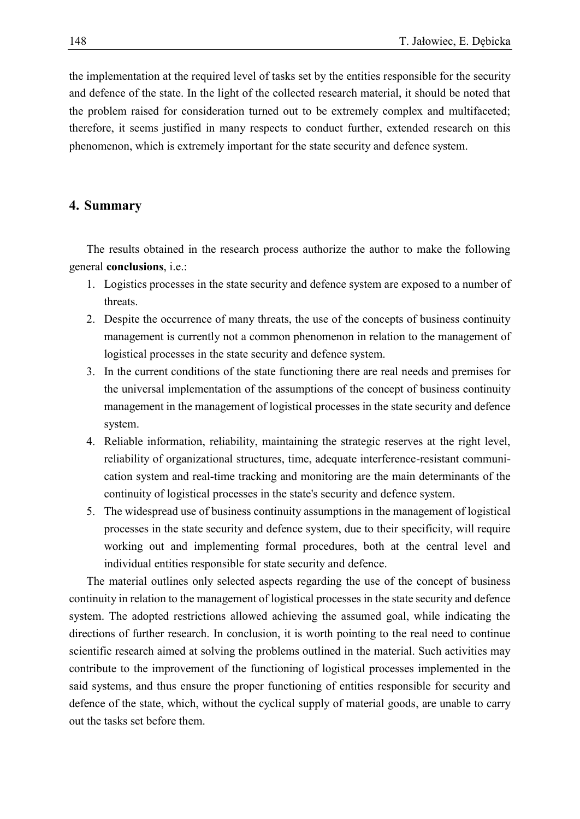the implementation at the required level of tasks set by the entities responsible for the security and defence of the state. In the light of the collected research material, it should be noted that the problem raised for consideration turned out to be extremely complex and multifaceted; therefore, it seems justified in many respects to conduct further, extended research on this phenomenon, which is extremely important for the state security and defence system.

### **4. Summary**

The results obtained in the research process authorize the author to make the following general **conclusions**, i.e.:

- 1. Logistics processes in the state security and defence system are exposed to a number of threats.
- 2. Despite the occurrence of many threats, the use of the concepts of business continuity management is currently not a common phenomenon in relation to the management of logistical processes in the state security and defence system.
- 3. In the current conditions of the state functioning there are real needs and premises for the universal implementation of the assumptions of the concept of business continuity management in the management of logistical processes in the state security and defence system.
- 4. Reliable information, reliability, maintaining the strategic reserves at the right level, reliability of organizational structures, time, adequate interference-resistant communication system and real-time tracking and monitoring are the main determinants of the continuity of logistical processes in the state's security and defence system.
- 5. The widespread use of business continuity assumptions in the management of logistical processes in the state security and defence system, due to their specificity, will require working out and implementing formal procedures, both at the central level and individual entities responsible for state security and defence.

The material outlines only selected aspects regarding the use of the concept of business continuity in relation to the management of logistical processes in the state security and defence system. The adopted restrictions allowed achieving the assumed goal, while indicating the directions of further research. In conclusion, it is worth pointing to the real need to continue scientific research aimed at solving the problems outlined in the material. Such activities may contribute to the improvement of the functioning of logistical processes implemented in the said systems, and thus ensure the proper functioning of entities responsible for security and defence of the state, which, without the cyclical supply of material goods, are unable to carry out the tasks set before them.